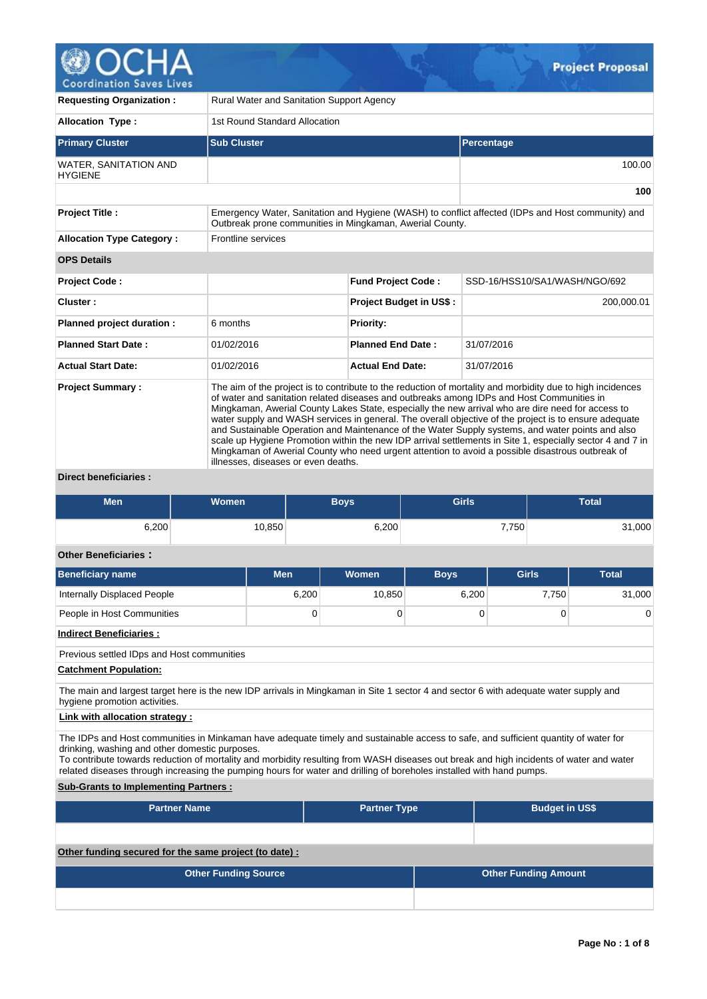

| <b>Requesting Organization:</b>                                                                                                                                                        | <b>Rural Water and Sanitation Support Agency</b>                                                                                                                                                                                                                                                                                                                                                                                                                                                                                                                                                                                                                                                                                                                                  |                                |                               |  |  |  |  |  |  |  |  |
|----------------------------------------------------------------------------------------------------------------------------------------------------------------------------------------|-----------------------------------------------------------------------------------------------------------------------------------------------------------------------------------------------------------------------------------------------------------------------------------------------------------------------------------------------------------------------------------------------------------------------------------------------------------------------------------------------------------------------------------------------------------------------------------------------------------------------------------------------------------------------------------------------------------------------------------------------------------------------------------|--------------------------------|-------------------------------|--|--|--|--|--|--|--|--|
| <b>Allocation Type:</b>                                                                                                                                                                |                                                                                                                                                                                                                                                                                                                                                                                                                                                                                                                                                                                                                                                                                                                                                                                   | 1st Round Standard Allocation  |                               |  |  |  |  |  |  |  |  |
| <b>Primary Cluster</b>                                                                                                                                                                 | <b>Sub Cluster</b>                                                                                                                                                                                                                                                                                                                                                                                                                                                                                                                                                                                                                                                                                                                                                                |                                | Percentage                    |  |  |  |  |  |  |  |  |
| <b>WATER, SANITATION AND</b><br><b>HYGIENE</b>                                                                                                                                         |                                                                                                                                                                                                                                                                                                                                                                                                                                                                                                                                                                                                                                                                                                                                                                                   |                                | 100.00                        |  |  |  |  |  |  |  |  |
|                                                                                                                                                                                        |                                                                                                                                                                                                                                                                                                                                                                                                                                                                                                                                                                                                                                                                                                                                                                                   |                                | 100                           |  |  |  |  |  |  |  |  |
| <b>Project Title:</b><br>Emergency Water, Sanitation and Hygiene (WASH) to conflict affected (IDPs and Host community) and<br>Outbreak prone communities in Mingkaman, Awerial County. |                                                                                                                                                                                                                                                                                                                                                                                                                                                                                                                                                                                                                                                                                                                                                                                   |                                |                               |  |  |  |  |  |  |  |  |
| <b>Allocation Type Category:</b>                                                                                                                                                       | Frontline services                                                                                                                                                                                                                                                                                                                                                                                                                                                                                                                                                                                                                                                                                                                                                                |                                |                               |  |  |  |  |  |  |  |  |
| <b>OPS Details</b>                                                                                                                                                                     |                                                                                                                                                                                                                                                                                                                                                                                                                                                                                                                                                                                                                                                                                                                                                                                   |                                |                               |  |  |  |  |  |  |  |  |
| Project Code:                                                                                                                                                                          |                                                                                                                                                                                                                                                                                                                                                                                                                                                                                                                                                                                                                                                                                                                                                                                   | <b>Fund Project Code:</b>      | SSD-16/HSS10/SA1/WASH/NGO/692 |  |  |  |  |  |  |  |  |
| Cluster:                                                                                                                                                                               |                                                                                                                                                                                                                                                                                                                                                                                                                                                                                                                                                                                                                                                                                                                                                                                   | <b>Project Budget in US\$:</b> | 200,000.01                    |  |  |  |  |  |  |  |  |
| Planned project duration :                                                                                                                                                             | 6 months                                                                                                                                                                                                                                                                                                                                                                                                                                                                                                                                                                                                                                                                                                                                                                          | <b>Priority:</b>               |                               |  |  |  |  |  |  |  |  |
| <b>Planned Start Date:</b>                                                                                                                                                             | 01/02/2016                                                                                                                                                                                                                                                                                                                                                                                                                                                                                                                                                                                                                                                                                                                                                                        | <b>Planned End Date:</b>       | 31/07/2016                    |  |  |  |  |  |  |  |  |
| <b>Actual Start Date:</b>                                                                                                                                                              | 01/02/2016                                                                                                                                                                                                                                                                                                                                                                                                                                                                                                                                                                                                                                                                                                                                                                        | <b>Actual End Date:</b>        | 31/07/2016                    |  |  |  |  |  |  |  |  |
| <b>Project Summary:</b>                                                                                                                                                                | The aim of the project is to contribute to the reduction of mortality and morbidity due to high incidences<br>of water and sanitation related diseases and outbreaks among IDPs and Host Communities in<br>Mingkaman, Awerial County Lakes State, especially the new arrival who are dire need for access to<br>water supply and WASH services in general. The overall objective of the project is to ensure adequate<br>and Sustainable Operation and Maintenance of the Water Supply systems, and water points and also<br>scale up Hygiene Promotion within the new IDP arrival settlements in Site 1, especially sector 4 and 7 in<br>Mingkaman of Awerial County who need urgent attention to avoid a possible disastrous outbreak of<br>illnesses, diseases or even deaths. |                                |                               |  |  |  |  |  |  |  |  |

**Direct beneficiaries :**

| <b>Men</b> | <b>Women</b> | <b>Boys</b> | <b>Girls</b> | <b>Total</b> |  |  |
|------------|--------------|-------------|--------------|--------------|--|--|
| 6,200      | 10,850       | 6,200       | 7,750        | 31,000       |  |  |

# **Other Beneficiaries :**

| эню выспениено .                                                                                                                                                                                                                                                                                                                                                                                                                                         |             |                     |             |                             |              |  |  |  |  |  |  |  |
|----------------------------------------------------------------------------------------------------------------------------------------------------------------------------------------------------------------------------------------------------------------------------------------------------------------------------------------------------------------------------------------------------------------------------------------------------------|-------------|---------------------|-------------|-----------------------------|--------------|--|--|--|--|--|--|--|
| <b>Beneficiary name</b>                                                                                                                                                                                                                                                                                                                                                                                                                                  | <b>Men</b>  | <b>Women</b>        | <b>Boys</b> | <b>Girls</b>                | <b>Total</b> |  |  |  |  |  |  |  |
| Internally Displaced People                                                                                                                                                                                                                                                                                                                                                                                                                              | 6,200       | 10,850              | 6,200       | 7,750                       | 31,000       |  |  |  |  |  |  |  |
| People in Host Communities                                                                                                                                                                                                                                                                                                                                                                                                                               | $\mathbf 0$ | $\Omega$            | 0           | 0                           | $\Omega$     |  |  |  |  |  |  |  |
| <b>Indirect Beneficiaries:</b>                                                                                                                                                                                                                                                                                                                                                                                                                           |             |                     |             |                             |              |  |  |  |  |  |  |  |
| Previous settled IDps and Host communities                                                                                                                                                                                                                                                                                                                                                                                                               |             |                     |             |                             |              |  |  |  |  |  |  |  |
| <b>Catchment Population:</b>                                                                                                                                                                                                                                                                                                                                                                                                                             |             |                     |             |                             |              |  |  |  |  |  |  |  |
| The main and largest target here is the new IDP arrivals in Mingkaman in Site 1 sector 4 and sector 6 with adequate water supply and<br>hygiene promotion activities.                                                                                                                                                                                                                                                                                    |             |                     |             |                             |              |  |  |  |  |  |  |  |
| Link with allocation strategy:                                                                                                                                                                                                                                                                                                                                                                                                                           |             |                     |             |                             |              |  |  |  |  |  |  |  |
| The IDPs and Host communities in Minkaman have adequate timely and sustainable access to safe, and sufficient quantity of water for<br>drinking, washing and other domestic purposes.<br>To contribute towards reduction of mortality and morbidity resulting from WASH diseases out break and high incidents of water and water<br>related diseases through increasing the pumping hours for water and drilling of boreholes installed with hand pumps. |             |                     |             |                             |              |  |  |  |  |  |  |  |
| <b>Sub-Grants to Implementing Partners:</b>                                                                                                                                                                                                                                                                                                                                                                                                              |             |                     |             |                             |              |  |  |  |  |  |  |  |
| <b>Partner Name</b>                                                                                                                                                                                                                                                                                                                                                                                                                                      |             | <b>Partner Type</b> |             | <b>Budget in US\$</b>       |              |  |  |  |  |  |  |  |
|                                                                                                                                                                                                                                                                                                                                                                                                                                                          |             |                     |             |                             |              |  |  |  |  |  |  |  |
| Other funding secured for the same project (to date) :                                                                                                                                                                                                                                                                                                                                                                                                   |             |                     |             |                             |              |  |  |  |  |  |  |  |
| <b>Other Funding Source</b>                                                                                                                                                                                                                                                                                                                                                                                                                              |             |                     |             | <b>Other Funding Amount</b> |              |  |  |  |  |  |  |  |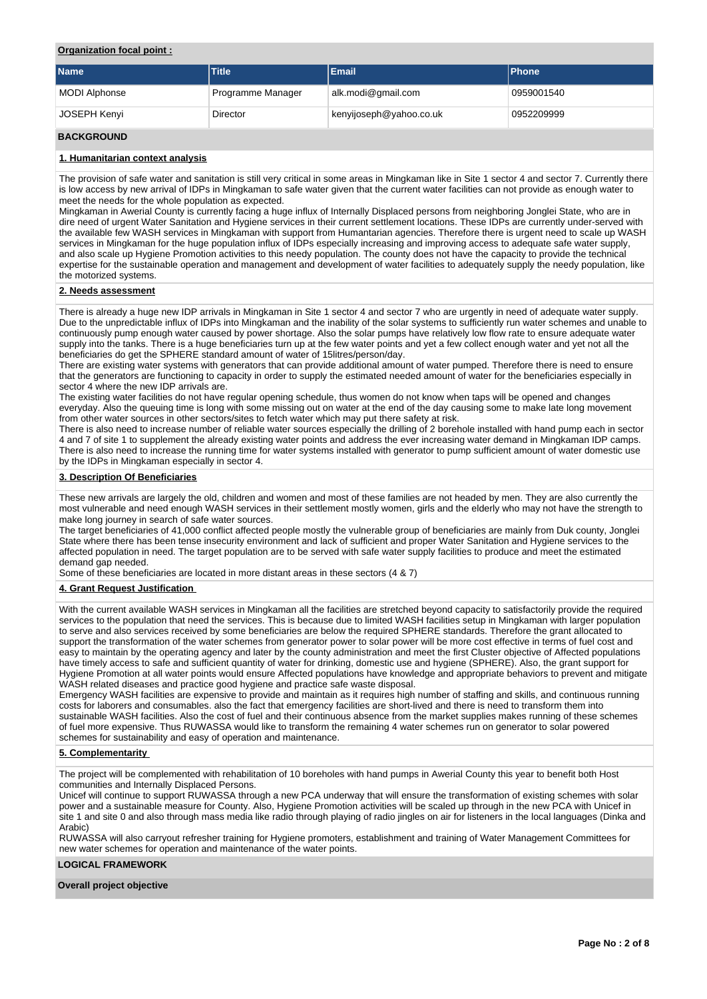### **Organization focal point :**

| <b>Name</b>          | <b>Title</b>      | Email                   | <b>Phone</b> |
|----------------------|-------------------|-------------------------|--------------|
| <b>MODI Alphonse</b> | Programme Manager | alk.modi@gmail.com      | 0959001540   |
| JOSEPH Kenyi         | Director          | kenyijoseph@yahoo.co.uk | 0952209999   |

# **BACKGROUND**

### **1. Humanitarian context analysis**

The provision of safe water and sanitation is still very critical in some areas in Mingkaman like in Site 1 sector 4 and sector 7. Currently there is low access by new arrival of IDPs in Mingkaman to safe water given that the current water facilities can not provide as enough water to meet the needs for the whole population as expected.

Mingkaman in Awerial County is currently facing a huge influx of Internally Displaced persons from neighboring Jonglei State, who are in dire need of urgent Water Sanitation and Hygiene services in their current settlement locations. These IDPs are currently under-served with the available few WASH services in Mingkaman with support from Humantarian agencies. Therefore there is urgent need to scale up WASH services in Mingkaman for the huge population influx of IDPs especially increasing and improving access to adequate safe water supply, and also scale up Hygiene Promotion activities to this needy population. The county does not have the capacity to provide the technical expertise for the sustainable operation and management and development of water facilities to adequately supply the needy population, like the motorized systems.

### **2. Needs assessment**

There is already a huge new IDP arrivals in Mingkaman in Site 1 sector 4 and sector 7 who are urgently in need of adequate water supply. Due to the unpredictable influx of IDPs into Mingkaman and the inability of the solar systems to sufficiently run water schemes and unable to continuously pump enough water caused by power shortage. Also the solar pumps have relatively low flow rate to ensure adequate water supply into the tanks. There is a huge beneficiaries turn up at the few water points and yet a few collect enough water and yet not all the beneficiaries do get the SPHERE standard amount of water of 15litres/person/day.

There are existing water systems with generators that can provide additional amount of water pumped. Therefore there is need to ensure that the generators are functioning to capacity in order to supply the estimated needed amount of water for the beneficiaries especially in sector 4 where the new IDP arrivals are.

The existing water facilities do not have regular opening schedule, thus women do not know when taps will be opened and changes everyday. Also the queuing time is long with some missing out on water at the end of the day causing some to make late long movement from other water sources in other sectors/sites to fetch water which may put there safety at risk.

There is also need to increase number of reliable water sources especially the drilling of 2 borehole installed with hand pump each in sector 4 and 7 of site 1 to supplement the already existing water points and address the ever increasing water demand in Mingkaman IDP camps. There is also need to increase the running time for water systems installed with generator to pump sufficient amount of water domestic use by the IDPs in Mingkaman especially in sector 4.

#### **3. Description Of Beneficiaries**

These new arrivals are largely the old, children and women and most of these families are not headed by men. They are also currently the most vulnerable and need enough WASH services in their settlement mostly women, girls and the elderly who may not have the strength to make long journey in search of safe water sources.

The target beneficiaries of 41,000 conflict affected people mostly the vulnerable group of beneficiaries are mainly from Duk county, Jonglei State where there has been tense insecurity environment and lack of sufficient and proper Water Sanitation and Hygiene services to the affected population in need. The target population are to be served with safe water supply facilities to produce and meet the estimated demand gap needed.

Some of these beneficiaries are located in more distant areas in these sectors (4 & 7)

### **4. Grant Request Justification**

With the current available WASH services in Mingkaman all the facilities are stretched beyond capacity to satisfactorily provide the required services to the population that need the services. This is because due to limited WASH facilities setup in Mingkaman with larger population to serve and also services received by some beneficiaries are below the required SPHERE standards. Therefore the grant allocated to support the transformation of the water schemes from generator power to solar power will be more cost effective in terms of fuel cost and easy to maintain by the operating agency and later by the county administration and meet the first Cluster objective of Affected populations have timely access to safe and sufficient quantity of water for drinking, domestic use and hygiene (SPHERE). Also, the grant support for Hygiene Promotion at all water points would ensure Affected populations have knowledge and appropriate behaviors to prevent and mitigate WASH related diseases and practice good hygiene and practice safe waste disposal.

Emergency WASH facilities are expensive to provide and maintain as it requires high number of staffing and skills, and continuous running costs for laborers and consumables. also the fact that emergency facilities are short-lived and there is need to transform them into sustainable WASH facilities. Also the cost of fuel and their continuous absence from the market supplies makes running of these schemes of fuel more expensive. Thus RUWASSA would like to transform the remaining 4 water schemes run on generator to solar powered schemes for sustainability and easy of operation and maintenance.

### **5. Complementarity**

The project will be complemented with rehabilitation of 10 boreholes with hand pumps in Awerial County this year to benefit both Host communities and Internally Displaced Persons.

Unicef will continue to support RUWASSA through a new PCA underway that will ensure the transformation of existing schemes with solar power and a sustainable measure for County. Also, Hygiene Promotion activities will be scaled up through in the new PCA with Unicef in site 1 and site 0 and also through mass media like radio through playing of radio jingles on air for listeners in the local languages (Dinka and Arabic)

RUWASSA will also carryout refresher training for Hygiene promoters, establishment and training of Water Management Committees for new water schemes for operation and maintenance of the water points.

### **LOGICAL FRAMEWORK**

#### **Overall project objective**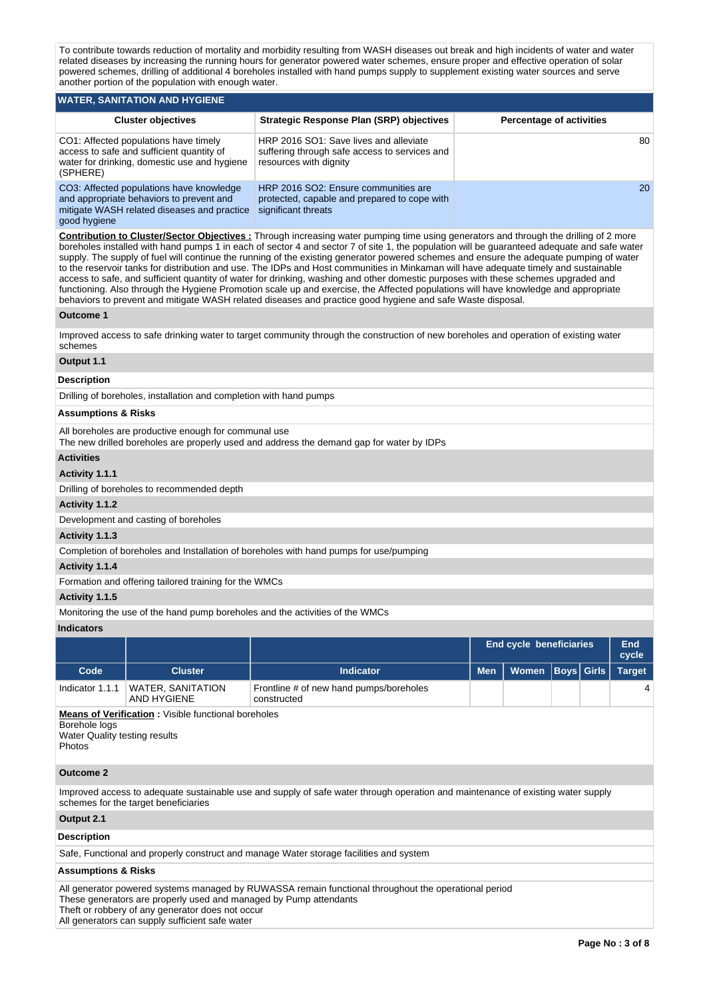To contribute towards reduction of mortality and morbidity resulting from WASH diseases out break and high incidents of water and water related diseases by increasing the running hours for generator powered water schemes, ensure proper and effective operation of solar powered schemes, drilling of additional 4 boreholes installed with hand pumps supply to supplement existing water sources and serve another portion of the population with enough water.

| WATER, SANITATION AND HYGIENE                                                                                                                       |                                                                                                                   |                                 |  |  |  |  |  |  |  |  |  |
|-----------------------------------------------------------------------------------------------------------------------------------------------------|-------------------------------------------------------------------------------------------------------------------|---------------------------------|--|--|--|--|--|--|--|--|--|
| <b>Cluster objectives</b>                                                                                                                           | Strategic Response Plan (SRP) objectives                                                                          | <b>Percentage of activities</b> |  |  |  |  |  |  |  |  |  |
| CO1: Affected populations have timely<br>access to safe and sufficient quantity of<br>water for drinking, domestic use and hygiene<br>(SPHERE)      | HRP 2016 SO1: Save lives and alleviate<br>suffering through safe access to services and<br>resources with dignity | 80                              |  |  |  |  |  |  |  |  |  |
| CO3: Affected populations have knowledge<br>and appropriate behaviors to prevent and<br>mitigate WASH related diseases and practice<br>good hygiene | HRP 2016 SO2: Ensure communities are<br>protected, capable and prepared to cope with<br>significant threats       | 20                              |  |  |  |  |  |  |  |  |  |

**Contribution to Cluster/Sector Objectives :** Through increasing water pumping time using generators and through the drilling of 2 more boreholes installed with hand pumps 1 in each of sector 4 and sector 7 of site 1, the population will be guaranteed adequate and safe water supply. The supply of fuel will continue the running of the existing generator powered schemes and ensure the adequate pumping of water to the reservoir tanks for distribution and use. The IDPs and Host communities in Minkaman will have adequate timely and sustainable access to safe, and sufficient quantity of water for drinking, washing and other domestic purposes with these schemes upgraded and functioning. Also through the Hygiene Promotion scale up and exercise, the Affected populations will have knowledge and appropriate behaviors to prevent and mitigate WASH related diseases and practice good hygiene and safe Waste disposal.

### **Outcome 1**

Improved access to safe drinking water to target community through the construction of new boreholes and operation of existing water schemes

### **Output 1.1**

### **Description**

Drilling of boreholes, installation and completion with hand pumps

### **Assumptions & Risks**

All boreholes are productive enough for communal use

The new drilled boreholes are properly used and address the demand gap for water by IDPs

## **Activities**

### **Activity 1.1.1**

Drilling of boreholes to recommended depth

#### **Activity 1.1.2**

Development and casting of boreholes

### **Activity 1.1.3**

Completion of boreholes and Installation of boreholes with hand pumps for use/pumping

#### **Activity 1.1.4**

Formation and offering tailored training for the WMCs

### **Activity 1.1.5**

Monitoring the use of the hand pump boreholes and the activities of the WMCs

#### **Indicators**

|                                                          |                                                            |                                                        |            | <b>End cycle beneficiaries</b> |  |                   |                |  |
|----------------------------------------------------------|------------------------------------------------------------|--------------------------------------------------------|------------|--------------------------------|--|-------------------|----------------|--|
| Code                                                     | <b>Cluster</b>                                             | <b>Indicator</b>                                       | <b>Men</b> | Women                          |  | <b>Boys</b> Girls | <b>Target</b>  |  |
| Indicator 1.1.1                                          | <b>WATER, SANITATION</b><br>AND HYGIENE                    | Frontline # of new hand pumps/boreholes<br>constructed |            |                                |  |                   | $\overline{4}$ |  |
| Borehole logs<br>Water Quality testing results<br>Photos | <b>Means of Verification:</b> Visible functional boreholes |                                                        |            |                                |  |                   |                |  |

#### **Outcome 2**

Improved access to adequate sustainable use and supply of safe water through operation and maintenance of existing water supply schemes for the target beneficiaries

### **Output 2.1**

### **Description**

Safe, Functional and properly construct and manage Water storage facilities and system

#### **Assumptions & Risks**

All generator powered systems managed by RUWASSA remain functional throughout the operational period These generators are properly used and managed by Pump attendants

Theft or robbery of any generator does not occur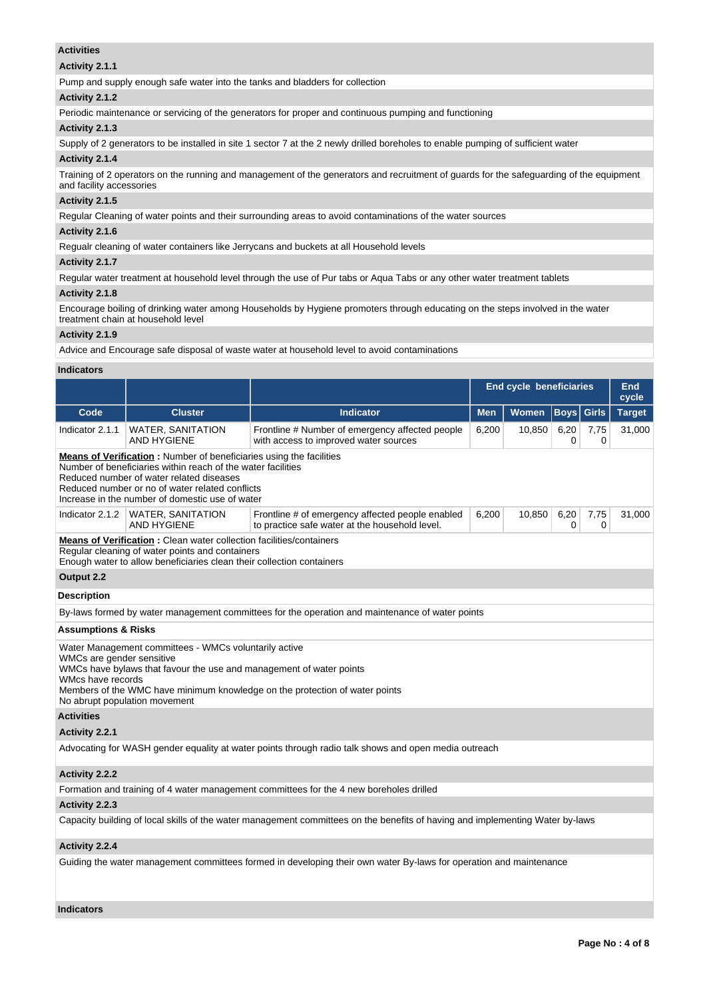### **Activities**

### **Activity 2.1.1**

Pump and supply enough safe water into the tanks and bladders for collection

### **Activity 2.1.2**

Periodic maintenance or servicing of the generators for proper and continuous pumping and functioning

## **Activity 2.1.3**

Supply of 2 generators to be installed in site 1 sector 7 at the 2 newly drilled boreholes to enable pumping of sufficient water

### **Activity 2.1.4**

Training of 2 operators on the running and management of the generators and recruitment of guards for the safeguarding of the equipment and facility accessories

### **Activity 2.1.5**

Regular Cleaning of water points and their surrounding areas to avoid contaminations of the water sources

### **Activity 2.1.6**

Regualr cleaning of water containers like Jerrycans and buckets at all Household levels

### **Activity 2.1.7**

Regular water treatment at household level through the use of Pur tabs or Aqua Tabs or any other water treatment tablets

### **Activity 2.1.8**

Encourage boiling of drinking water among Households by Hygiene promoters through educating on the steps involved in the water treatment chain at household level

### **Activity 2.1.9**

Advice and Encourage safe disposal of waste water at household level to avoid contaminations

### **Indicators**

|                                                                                                                                                                                                                                                                                              |                                                                                                                                                                                                        |                                                                                                                               | End cycle beneficiaries | End<br>cycle |                  |              |               |  |
|----------------------------------------------------------------------------------------------------------------------------------------------------------------------------------------------------------------------------------------------------------------------------------------------|--------------------------------------------------------------------------------------------------------------------------------------------------------------------------------------------------------|-------------------------------------------------------------------------------------------------------------------------------|-------------------------|--------------|------------------|--------------|---------------|--|
| Code                                                                                                                                                                                                                                                                                         | <b>Cluster</b>                                                                                                                                                                                         | <b>Indicator</b>                                                                                                              | <b>Men</b>              | Women        | <b>Boys</b>      | <b>Girls</b> | <b>Target</b> |  |
| Indicator 2.1.1                                                                                                                                                                                                                                                                              | <b>WATER, SANITATION</b><br><b>AND HYGIENE</b>                                                                                                                                                         | Frontline # Number of emergency affected people<br>with access to improved water sources                                      | 6,200                   | 10,850       | 6,20<br>0        | 7,75<br>0    | 31,000        |  |
| <b>Means of Verification:</b> Number of beneficiaries using the facilities<br>Number of beneficiaries within reach of the water facilities<br>Reduced number of water related diseases<br>Reduced number or no of water related conflicts<br>Increase in the number of domestic use of water |                                                                                                                                                                                                        |                                                                                                                               |                         |              |                  |              |               |  |
| Indicator 2.1.2                                                                                                                                                                                                                                                                              | <b>WATER, SANITATION</b><br><b>AND HYGIENE</b>                                                                                                                                                         | Frontline # of emergency affected people enabled<br>to practice safe water at the household level.                            | 6,200                   | 10,850       | 6,20<br>$\Omega$ | 7,75<br>0    | 31,000        |  |
|                                                                                                                                                                                                                                                                                              | <b>Means of Verification: Clean water collection facilities/containers</b><br>Regular cleaning of water points and containers<br>Enough water to allow beneficiaries clean their collection containers |                                                                                                                               |                         |              |                  |              |               |  |
| Output 2.2                                                                                                                                                                                                                                                                                   |                                                                                                                                                                                                        |                                                                                                                               |                         |              |                  |              |               |  |
| <b>Description</b>                                                                                                                                                                                                                                                                           |                                                                                                                                                                                                        |                                                                                                                               |                         |              |                  |              |               |  |
|                                                                                                                                                                                                                                                                                              |                                                                                                                                                                                                        | By-laws formed by water management committees for the operation and maintenance of water points                               |                         |              |                  |              |               |  |
| <b>Assumptions &amp; Risks</b>                                                                                                                                                                                                                                                               |                                                                                                                                                                                                        |                                                                                                                               |                         |              |                  |              |               |  |
| WMCs are gender sensitive<br>WMcs have records                                                                                                                                                                                                                                               | Water Management committees - WMCs voluntarily active<br>WMCs have bylaws that favour the use and management of water points<br>No abrupt population movement                                          | Members of the WMC have minimum knowledge on the protection of water points                                                   |                         |              |                  |              |               |  |
| <b>Activities</b>                                                                                                                                                                                                                                                                            |                                                                                                                                                                                                        |                                                                                                                               |                         |              |                  |              |               |  |
| Activity 2.2.1                                                                                                                                                                                                                                                                               |                                                                                                                                                                                                        |                                                                                                                               |                         |              |                  |              |               |  |
|                                                                                                                                                                                                                                                                                              |                                                                                                                                                                                                        | Advocating for WASH gender equality at water points through radio talk shows and open media outreach                          |                         |              |                  |              |               |  |
| <b>Activity 2.2.2</b>                                                                                                                                                                                                                                                                        |                                                                                                                                                                                                        |                                                                                                                               |                         |              |                  |              |               |  |
|                                                                                                                                                                                                                                                                                              |                                                                                                                                                                                                        | Formation and training of 4 water management committees for the 4 new boreholes drilled                                       |                         |              |                  |              |               |  |
| Activity 2.2.3                                                                                                                                                                                                                                                                               |                                                                                                                                                                                                        |                                                                                                                               |                         |              |                  |              |               |  |
|                                                                                                                                                                                                                                                                                              |                                                                                                                                                                                                        | Capacity building of local skills of the water management committees on the benefits of having and implementing Water by-laws |                         |              |                  |              |               |  |
| Activity 2.2.4                                                                                                                                                                                                                                                                               |                                                                                                                                                                                                        |                                                                                                                               |                         |              |                  |              |               |  |
|                                                                                                                                                                                                                                                                                              |                                                                                                                                                                                                        | Guiding the water management committees formed in developing their own water By-laws for operation and maintenance            |                         |              |                  |              |               |  |

### **Indicators**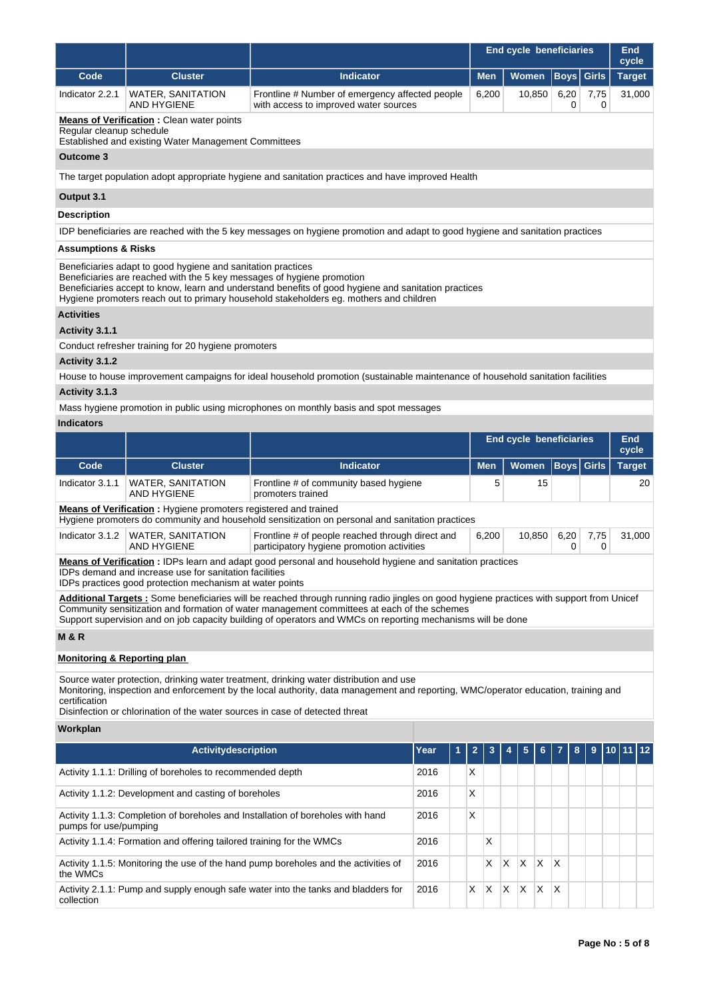|                                        |                                                                                                                                        |                                                                                                                                                                                                                                                                                                                                                       |      |   | <b>End cycle beneficiaries</b> | <b>End</b><br>cycle            |        |             |              |                        |    |
|----------------------------------------|----------------------------------------------------------------------------------------------------------------------------------------|-------------------------------------------------------------------------------------------------------------------------------------------------------------------------------------------------------------------------------------------------------------------------------------------------------------------------------------------------------|------|---|--------------------------------|--------------------------------|--------|-------------|--------------|------------------------|----|
| Code                                   | <b>Cluster</b>                                                                                                                         | <b>Indicator</b>                                                                                                                                                                                                                                                                                                                                      |      |   | <b>Men</b>                     | Women                          |        | <b>Boys</b> | <b>Girls</b> | <b>Target</b>          |    |
| Indicator 2.2.1                        | <b>WATER, SANITATION</b><br>AND HYGIENE                                                                                                | Frontline # Number of emergency affected people<br>with access to improved water sources                                                                                                                                                                                                                                                              |      |   | 6,200                          |                                | 10,850 | 6,20<br>0   | 7,75<br>0    | 31,000                 |    |
| Regular cleanup schedule               | <b>Means of Verification:</b> Clean water points<br>Established and existing Water Management Committees                               |                                                                                                                                                                                                                                                                                                                                                       |      |   |                                |                                |        |             |              |                        |    |
| Outcome 3                              |                                                                                                                                        |                                                                                                                                                                                                                                                                                                                                                       |      |   |                                |                                |        |             |              |                        |    |
|                                        |                                                                                                                                        | The target population adopt appropriate hygiene and sanitation practices and have improved Health                                                                                                                                                                                                                                                     |      |   |                                |                                |        |             |              |                        |    |
| Output 3.1                             |                                                                                                                                        |                                                                                                                                                                                                                                                                                                                                                       |      |   |                                |                                |        |             |              |                        |    |
| <b>Description</b>                     |                                                                                                                                        |                                                                                                                                                                                                                                                                                                                                                       |      |   |                                |                                |        |             |              |                        |    |
|                                        |                                                                                                                                        | IDP beneficiaries are reached with the 5 key messages on hygiene promotion and adapt to good hygiene and sanitation practices                                                                                                                                                                                                                         |      |   |                                |                                |        |             |              |                        |    |
| <b>Assumptions &amp; Risks</b>         |                                                                                                                                        |                                                                                                                                                                                                                                                                                                                                                       |      |   |                                |                                |        |             |              |                        |    |
|                                        | Beneficiaries adapt to good hygiene and sanitation practices<br>Beneficiaries are reached with the 5 key messages of hygiene promotion | Beneficiaries accept to know, learn and understand benefits of good hygiene and sanitation practices<br>Hygiene promoters reach out to primary household stakeholders eg. mothers and children                                                                                                                                                        |      |   |                                |                                |        |             |              |                        |    |
| <b>Activities</b>                      |                                                                                                                                        |                                                                                                                                                                                                                                                                                                                                                       |      |   |                                |                                |        |             |              |                        |    |
| Activity 3.1.1                         |                                                                                                                                        |                                                                                                                                                                                                                                                                                                                                                       |      |   |                                |                                |        |             |              |                        |    |
|                                        | Conduct refresher training for 20 hygiene promoters                                                                                    |                                                                                                                                                                                                                                                                                                                                                       |      |   |                                |                                |        |             |              |                        |    |
| Activity 3.1.2                         |                                                                                                                                        |                                                                                                                                                                                                                                                                                                                                                       |      |   |                                |                                |        |             |              |                        |    |
| Activity 3.1.3                         |                                                                                                                                        | House to house improvement campaigns for ideal household promotion (sustainable maintenance of household sanitation facilities                                                                                                                                                                                                                        |      |   |                                |                                |        |             |              |                        |    |
|                                        |                                                                                                                                        | Mass hygiene promotion in public using microphones on monthly basis and spot messages                                                                                                                                                                                                                                                                 |      |   |                                |                                |        |             |              |                        |    |
| <b>Indicators</b>                      |                                                                                                                                        |                                                                                                                                                                                                                                                                                                                                                       |      |   |                                |                                |        |             |              |                        |    |
|                                        |                                                                                                                                        |                                                                                                                                                                                                                                                                                                                                                       |      |   |                                | <b>End cycle beneficiaries</b> |        |             |              | <b>End</b>             |    |
| Code                                   | <b>Cluster</b>                                                                                                                         | <b>Indicator</b>                                                                                                                                                                                                                                                                                                                                      |      |   | <b>Men</b>                     | Women                          |        | <b>Boys</b> | <b>Girls</b> | cycle<br><b>Target</b> |    |
| Indicator 3.1.1                        | <b>WATER, SANITATION</b><br><b>AND HYGIENE</b>                                                                                         | Frontline # of community based hygiene<br>promoters trained                                                                                                                                                                                                                                                                                           |      |   | 5                              |                                | 15     |             |              |                        | 20 |
|                                        | Means of Verification: Hygiene promoters registered and trained                                                                        | Hygiene promoters do community and household sensitization on personal and sanitation practices                                                                                                                                                                                                                                                       |      |   |                                |                                |        |             |              |                        |    |
| Indicator 3.1.2                        | <b>WATER, SANITATION</b><br>AND HYGIENE                                                                                                | Frontline # of people reached through direct and<br>participatory hygiene promotion activities                                                                                                                                                                                                                                                        |      |   | 6,200                          |                                | 10,850 | 6,20<br>0   | 7,75<br>0    | 31,000                 |    |
|                                        | IDPs demand and increase use for sanitation facilities                                                                                 | <b>Means of Verification</b> : IDPs learn and adapt good personal and household hygiene and sanitation practices                                                                                                                                                                                                                                      |      |   |                                |                                |        |             |              |                        |    |
|                                        | IDPs practices good protection mechanism at water points                                                                               |                                                                                                                                                                                                                                                                                                                                                       |      |   |                                |                                |        |             |              |                        |    |
|                                        |                                                                                                                                        | Additional Targets: Some beneficiaries will be reached through running radio jingles on good hygiene practices with support from Unicef<br>Community sensitization and formation of water management committees at each of the schemes<br>Support supervision and on job capacity building of operators and WMCs on reporting mechanisms will be done |      |   |                                |                                |        |             |              |                        |    |
| <b>M &amp; R</b>                       |                                                                                                                                        |                                                                                                                                                                                                                                                                                                                                                       |      |   |                                |                                |        |             |              |                        |    |
| <b>Monitoring &amp; Reporting plan</b> |                                                                                                                                        |                                                                                                                                                                                                                                                                                                                                                       |      |   |                                |                                |        |             |              |                        |    |
| certification                          | Disinfection or chlorination of the water sources in case of detected threat                                                           | Source water protection, drinking water treatment, drinking water distribution and use<br>Monitoring, inspection and enforcement by the local authority, data management and reporting, WMC/operator education, training and                                                                                                                          |      |   |                                |                                |        |             |              |                        |    |
| Workplan                               |                                                                                                                                        |                                                                                                                                                                                                                                                                                                                                                       |      |   |                                |                                |        |             |              |                        |    |
|                                        | Activitydescription                                                                                                                    |                                                                                                                                                                                                                                                                                                                                                       | Year | 1 | 2                              |                                |        |             |              |                        |    |
|                                        | Activity 1.1.1: Drilling of boreholes to recommended depth                                                                             |                                                                                                                                                                                                                                                                                                                                                       | 2016 | Χ |                                |                                |        |             |              |                        |    |
|                                        | Activity 1.1.2: Development and casting of boreholes                                                                                   |                                                                                                                                                                                                                                                                                                                                                       | 2016 | Χ |                                |                                |        |             |              |                        |    |
| pumps for use/pumping                  |                                                                                                                                        | Activity 1.1.3: Completion of boreholes and Installation of boreholes with hand                                                                                                                                                                                                                                                                       | 2016 | Χ |                                |                                |        |             |              |                        |    |
|                                        | Activity 1.1.4: Formation and offering tailored training for the WMCs<br>2016<br>X                                                     |                                                                                                                                                                                                                                                                                                                                                       |      |   |                                |                                |        |             |              |                        |    |

2016 X X X X X

Activity 1.1.5: Monitoring the use of the hand pump boreholes and the activities of

the WMCs

collection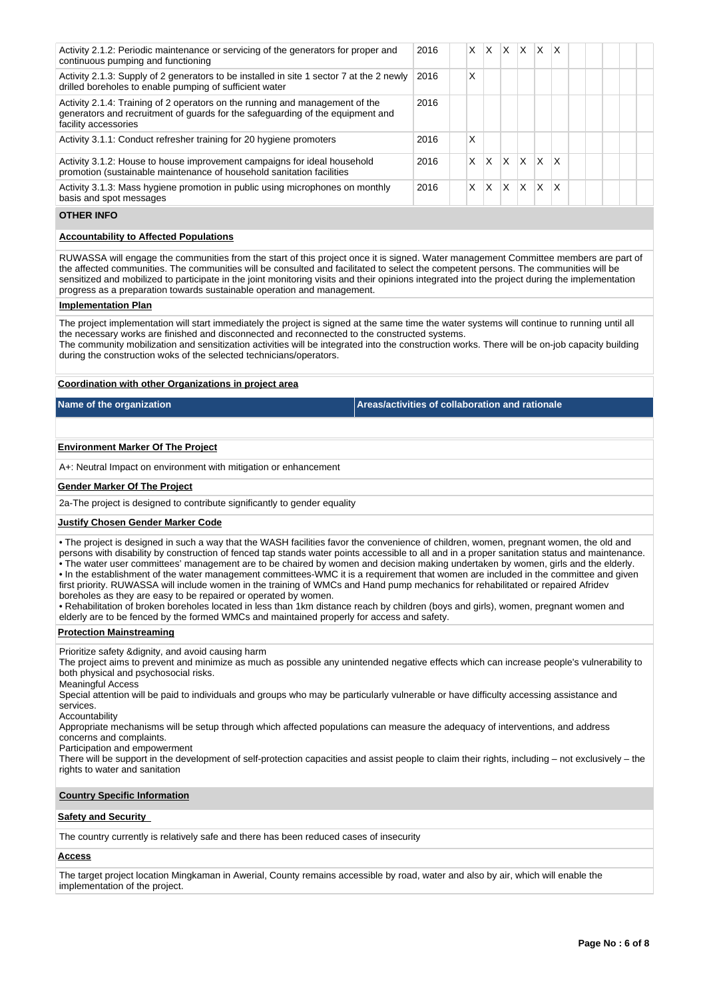| Activity 2.1.2: Periodic maintenance or servicing of the generators for proper and<br>continuous pumping and functioning                                                               | 2016 | X. | X | X. | ΙX.          | <b>XX</b> |   |  |  |  |
|----------------------------------------------------------------------------------------------------------------------------------------------------------------------------------------|------|----|---|----|--------------|-----------|---|--|--|--|
| Activity 2.1.3: Supply of 2 generators to be installed in site 1 sector 7 at the 2 newly<br>drilled boreholes to enable pumping of sufficient water                                    | 2016 | x  |   |    |              |           |   |  |  |  |
| Activity 2.1.4: Training of 2 operators on the running and management of the<br>generators and recruitment of guards for the safeguarding of the equipment and<br>facility accessories | 2016 |    |   |    |              |           |   |  |  |  |
| Activity 3.1.1: Conduct refresher training for 20 hygiene promoters                                                                                                                    | 2016 | X  |   |    |              |           |   |  |  |  |
| Activity 3.1.2: House to house improvement campaigns for ideal household<br>promotion (sustainable maintenance of household sanitation facilities                                      | 2016 | X  | X | X  | <sup>X</sup> | X.        | X |  |  |  |
| Activity 3.1.3: Mass hygiene promotion in public using microphones on monthly<br>basis and spot messages                                                                               | 2016 | X  | X | X  | $\mathsf{X}$ | X         | X |  |  |  |
| <b>OTHER INFO</b>                                                                                                                                                                      |      |    |   |    |              |           |   |  |  |  |
|                                                                                                                                                                                        |      |    |   |    |              |           |   |  |  |  |

#### **Accountability to Affected Populations**

RUWASSA will engage the communities from the start of this project once it is signed. Water management Committee members are part of the affected communities. The communities will be consulted and facilitated to select the competent persons. The communities will be sensitized and mobilized to participate in the joint monitoring visits and their opinions integrated into the project during the implementation progress as a preparation towards sustainable operation and management.

#### **Implementation Plan**

The project implementation will start immediately the project is signed at the same time the water systems will continue to running until all the necessary works are finished and disconnected and reconnected to the constructed systems. The community mobilization and sensitization activities will be integrated into the construction works. There will be on-job capacity building during the construction woks of the selected technicians/operators.

### **Coordination with other Organizations in project area**

**Name of the organization Areas/activities of collaboration and rationale** 

### **Environment Marker Of The Project**

A+: Neutral Impact on environment with mitigation or enhancement

#### **Gender Marker Of The Project**

2a-The project is designed to contribute significantly to gender equality

#### **Justify Chosen Gender Marker Code**

• The project is designed in such a way that the WASH facilities favor the convenience of children, women, pregnant women, the old and persons with disability by construction of fenced tap stands water points accessible to all and in a proper sanitation status and maintenance. • The water user committees' management are to be chaired by women and decision making undertaken by women, girls and the elderly. • In the establishment of the water management committees-WMC it is a requirement that women are included in the committee and given first priority. RUWASSA will include women in the training of WMCs and Hand pump mechanics for rehabilitated or repaired Afridev boreholes as they are easy to be repaired or operated by women.

• Rehabilitation of broken boreholes located in less than 1km distance reach by children (boys and girls), women, pregnant women and elderly are to be fenced by the formed WMCs and maintained properly for access and safety.

#### **Protection Mainstreaming**

Prioritize safety &dignity, and avoid causing harm

The project aims to prevent and minimize as much as possible any unintended negative effects which can increase people's vulnerability to both physical and psychosocial risks.

Meaningful Access

Special attention will be paid to individuals and groups who may be particularly vulnerable or have difficulty accessing assistance and services.

Accountability

Appropriate mechanisms will be setup through which affected populations can measure the adequacy of interventions, and address concerns and complaints.

Participation and empowerment

There will be support in the development of self-protection capacities and assist people to claim their rights, including – not exclusively – the rights to water and sanitation

### **Country Specific Information**

#### **Safety and Security**

The country currently is relatively safe and there has been reduced cases of insecurity

### **Access**

The target project location Mingkaman in Awerial, County remains accessible by road, water and also by air, which will enable the implementation of the project.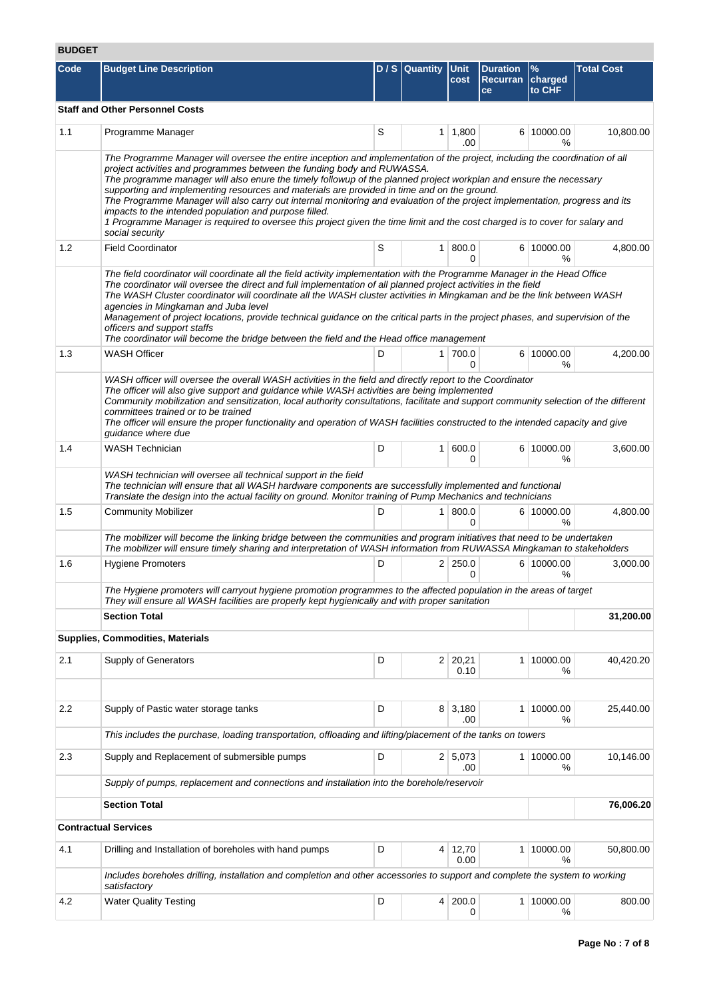# **BUDGET**

| ד∟טטט |                                                                                                                                                                                                                                                                                                                                                                                                                                                                                                                                                                                                                                                                                                                                                                           |   |                     |                        |                                             |                         |                   |
|-------|---------------------------------------------------------------------------------------------------------------------------------------------------------------------------------------------------------------------------------------------------------------------------------------------------------------------------------------------------------------------------------------------------------------------------------------------------------------------------------------------------------------------------------------------------------------------------------------------------------------------------------------------------------------------------------------------------------------------------------------------------------------------------|---|---------------------|------------------------|---------------------------------------------|-------------------------|-------------------|
| Code  | <b>Budget Line Description</b>                                                                                                                                                                                                                                                                                                                                                                                                                                                                                                                                                                                                                                                                                                                                            |   | D / S Quantity Unit | cost                   | <b>Duration</b><br>Recurran   charged<br>ce | $\frac{9}{6}$<br>to CHF | <b>Total Cost</b> |
|       | <b>Staff and Other Personnel Costs</b>                                                                                                                                                                                                                                                                                                                                                                                                                                                                                                                                                                                                                                                                                                                                    |   |                     |                        |                                             |                         |                   |
| 1.1   | Programme Manager                                                                                                                                                                                                                                                                                                                                                                                                                                                                                                                                                                                                                                                                                                                                                         | S |                     | $1 \mid 1,800$<br>.00  |                                             | 6 10000.00<br>℅         | 10,800.00         |
|       | The Programme Manager will oversee the entire inception and implementation of the project, including the coordination of all<br>project activities and programmes between the funding body and RUWASSA.<br>The programme manager will also enure the timely followup of the planned project workplan and ensure the necessary<br>supporting and implementing resources and materials are provided in time and on the ground.<br>The Programme Manager will also carry out internal monitoring and evaluation of the project implementation, progress and its<br>impacts to the intended population and purpose filled.<br>1 Programme Manager is required to oversee this project given the time limit and the cost charged is to cover for salary and<br>social security |   |                     |                        |                                             |                         |                   |
| 1.2   | <b>Field Coordinator</b>                                                                                                                                                                                                                                                                                                                                                                                                                                                                                                                                                                                                                                                                                                                                                  | S |                     | 1 800.0<br>0           |                                             | 6 10000.00<br>℅         | 4,800.00          |
|       | The field coordinator will coordinate all the field activity implementation with the Programme Manager in the Head Office<br>The coordinator will oversee the direct and full implementation of all planned project activities in the field<br>The WASH Cluster coordinator will coordinate all the WASH cluster activities in Mingkaman and be the link between WASH<br>agencies in Mingkaman and Juba level<br>Management of project locations, provide technical guidance on the critical parts in the project phases, and supervision of the<br>officers and support staffs<br>The coordinator will become the bridge between the field and the Head office management                                                                                                |   |                     |                        |                                             |                         |                   |
| 1.3   | <b>WASH Officer</b>                                                                                                                                                                                                                                                                                                                                                                                                                                                                                                                                                                                                                                                                                                                                                       | D |                     | 1 700.0<br>0           |                                             | 6 10000.00<br>%         | 4,200.00          |
|       | WASH officer will oversee the overall WASH activities in the field and directly report to the Coordinator<br>The officer will also give support and guidance while WASH activities are being implemented<br>Community mobilization and sensitization, local authority consultations, facilitate and support community selection of the different<br>committees trained or to be trained<br>The officer will ensure the proper functionality and operation of WASH facilities constructed to the intended capacity and give<br>guidance where due                                                                                                                                                                                                                          |   |                     |                        |                                             |                         |                   |
| 1.4   | <b>WASH Technician</b>                                                                                                                                                                                                                                                                                                                                                                                                                                                                                                                                                                                                                                                                                                                                                    | D |                     | 1   600.0<br>0         |                                             | 6 10000.00<br>℅         | 3,600.00          |
|       | WASH technician will oversee all technical support in the field<br>The technician will ensure that all WASH hardware components are successfully implemented and functional<br>Translate the design into the actual facility on ground. Monitor training of Pump Mechanics and technicians                                                                                                                                                                                                                                                                                                                                                                                                                                                                                |   |                     |                        |                                             |                         |                   |
| 1.5   | <b>Community Mobilizer</b>                                                                                                                                                                                                                                                                                                                                                                                                                                                                                                                                                                                                                                                                                                                                                | D |                     | 1   800.0<br>0         |                                             | 6 10000.00<br>%         | 4,800.00          |
|       | The mobilizer will become the linking bridge between the communities and program initiatives that need to be undertaken<br>The mobilizer will ensure timely sharing and interpretation of WASH information from RUWASSA Mingkaman to stakeholders                                                                                                                                                                                                                                                                                                                                                                                                                                                                                                                         |   |                     |                        |                                             |                         |                   |
| 1.6   | <b>Hygiene Promoters</b>                                                                                                                                                                                                                                                                                                                                                                                                                                                                                                                                                                                                                                                                                                                                                  | D |                     | $2 \mid 250.0$<br>0    |                                             | 6 10000.00<br>℅         | 3,000.00          |
|       | The Hygiene promoters will carryout hygiene promotion programmes to the affected population in the areas of target<br>They will ensure all WASH facilities are properly kept hygienically and with proper sanitation                                                                                                                                                                                                                                                                                                                                                                                                                                                                                                                                                      |   |                     |                        |                                             |                         |                   |
|       | <b>Section Total</b>                                                                                                                                                                                                                                                                                                                                                                                                                                                                                                                                                                                                                                                                                                                                                      |   |                     |                        |                                             |                         | 31,200.00         |
|       | <b>Supplies, Commodities, Materials</b>                                                                                                                                                                                                                                                                                                                                                                                                                                                                                                                                                                                                                                                                                                                                   |   |                     |                        |                                             |                         |                   |
| 2.1   | Supply of Generators                                                                                                                                                                                                                                                                                                                                                                                                                                                                                                                                                                                                                                                                                                                                                      | D |                     | $2 \mid 20,21$<br>0.10 |                                             | 1 10000.00<br>℅         | 40,420.20         |
|       |                                                                                                                                                                                                                                                                                                                                                                                                                                                                                                                                                                                                                                                                                                                                                                           |   |                     |                        |                                             |                         |                   |
| 2.2   | Supply of Pastic water storage tanks                                                                                                                                                                                                                                                                                                                                                                                                                                                                                                                                                                                                                                                                                                                                      | D |                     | 8 3,180<br>.00         |                                             | 1 10000.00<br>℅         | 25,440.00         |
|       | This includes the purchase, loading transportation, offloading and lifting/placement of the tanks on towers                                                                                                                                                                                                                                                                                                                                                                                                                                                                                                                                                                                                                                                               |   |                     |                        |                                             |                         |                   |
| 2.3   | Supply and Replacement of submersible pumps                                                                                                                                                                                                                                                                                                                                                                                                                                                                                                                                                                                                                                                                                                                               | D |                     | 2 5,073<br>.00         |                                             | 1 10000.00<br>℅         | 10,146.00         |
|       | Supply of pumps, replacement and connections and installation into the borehole/reservoir                                                                                                                                                                                                                                                                                                                                                                                                                                                                                                                                                                                                                                                                                 |   |                     |                        |                                             |                         |                   |
|       | <b>Section Total</b>                                                                                                                                                                                                                                                                                                                                                                                                                                                                                                                                                                                                                                                                                                                                                      |   |                     |                        |                                             |                         | 76,006.20         |
|       | <b>Contractual Services</b>                                                                                                                                                                                                                                                                                                                                                                                                                                                                                                                                                                                                                                                                                                                                               |   |                     |                        |                                             |                         |                   |
| 4.1   | Drilling and Installation of boreholes with hand pumps                                                                                                                                                                                                                                                                                                                                                                                                                                                                                                                                                                                                                                                                                                                    | D |                     | 4 12,70<br>0.00        |                                             | 1 10000.00<br>℅         | 50,800.00         |
|       | Includes boreholes drilling, installation and completion and other accessories to support and complete the system to working<br>satisfactory                                                                                                                                                                                                                                                                                                                                                                                                                                                                                                                                                                                                                              |   |                     |                        |                                             |                         |                   |
| 4.2   | <b>Water Quality Testing</b>                                                                                                                                                                                                                                                                                                                                                                                                                                                                                                                                                                                                                                                                                                                                              | D |                     | 4 200.0<br>0           |                                             | 1 10000.00<br>%         | 800.00            |